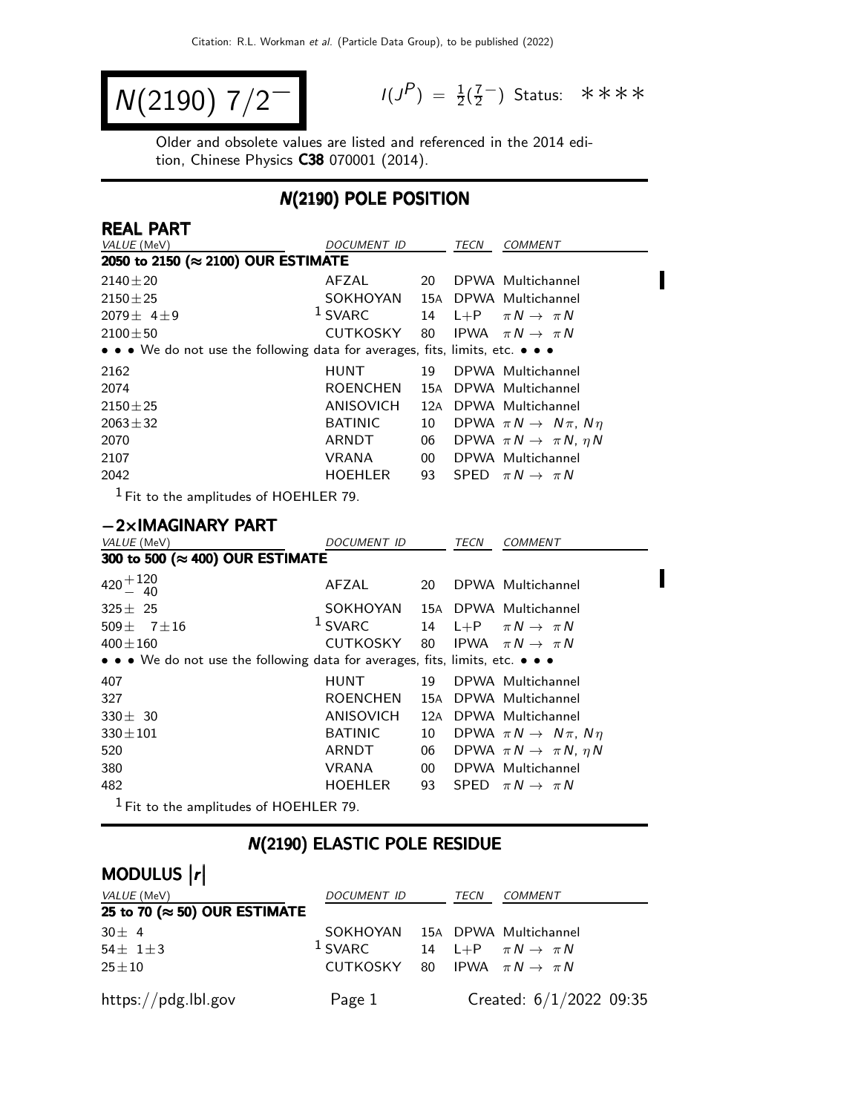$$
N(2190) 7/2^-
$$

 $P$ ) =  $\frac{1}{2}(\frac{7}{2})$ 7<br>2) Status: \*\*\*\*

 $\blacksquare$ 

Older and obsolete values are listed and referenced in the 2014 edition, Chinese Physics C38 070001 (2014).

#### N(2190) POLE POSITION

| <b>REAL PART</b>                                                              |                 |                 |      |                                           |
|-------------------------------------------------------------------------------|-----------------|-----------------|------|-------------------------------------------|
| VALUE (MeV)                                                                   | DOCUMENT ID     |                 | TECN | <b>COMMENT</b>                            |
| 2050 to 2150 (≈ 2100) OUR ESTIMATE                                            |                 |                 |      |                                           |
| $2140 \pm 20$                                                                 | AFZAL           | 20              |      | DPWA Multichannel                         |
| $2150 \pm 25$                                                                 | SOKHOYAN        |                 |      | 15A DPWA Multichannel                     |
| $2079 \pm 4 \pm 9$                                                            | $1$ SVARC       | 14              |      | L+P $\pi N \rightarrow \pi N$             |
| $2100 \pm 50$                                                                 | CUTKOSKY        | 80              |      | IPWA $\pi N \rightarrow \pi N$            |
| • • • We do not use the following data for averages, fits, limits, etc. • • • |                 |                 |      |                                           |
| 2162                                                                          | <b>HUNT</b>     | 19              |      | DPWA Multichannel                         |
| 2074                                                                          | <b>ROENCHEN</b> |                 |      | 15A DPWA Multichannel                     |
| $2150 \pm 25$                                                                 | ANISOVICH       | 12A             |      | DPWA Multichannel                         |
| $2063 \pm 32$                                                                 | <b>BATINIC</b>  | 10              |      | DPWA $\pi N \rightarrow N \pi$ , $N \eta$ |
| 2070                                                                          | ARNDT           | 06              |      | DPWA $\pi N \rightarrow \pi N$ , $\eta N$ |
| 2107                                                                          | VRANA           | 00 <sup>°</sup> |      | DPWA Multichannel                         |
| 2042                                                                          | <b>HOEHLER</b>  | 93              |      | SPED $\pi N \rightarrow \pi N$            |
| $1$ Eit to the amplitudes of HOEHLER 70                                       |                 |                 |      |                                           |

1 Fit to the amplitudes of HOEHLER 79.

#### −2×IMAGINARY PART

| VALUE (MeV)                                                                                                           | <i>DOCUMENT ID</i>             |      | TECN | <b>COMMENT</b>                            |
|-----------------------------------------------------------------------------------------------------------------------|--------------------------------|------|------|-------------------------------------------|
| 300 to 500 (≈ 400) OUR ESTIMATE                                                                                       |                                |      |      |                                           |
| $420 + 120$<br>$- 40$                                                                                                 | AFZAL                          | 20 · |      | DPWA Multichannel                         |
| $325 \pm 25$                                                                                                          | SOKHOYAN 15A DPWA Multichannel |      |      |                                           |
| 509 $\pm$ 7 $\pm$ 16                                                                                                  | $1$ SVARC                      |      |      | 14 L+P $\pi N \rightarrow \pi N$          |
| $400 \pm 160$                                                                                                         | CUTKOSKY                       | 80   |      | IPWA $\pi N \rightarrow \pi N$            |
| $\bullet \bullet \bullet$ We do not use the following data for averages, fits, limits, etc. $\bullet \bullet \bullet$ |                                |      |      |                                           |
| 407                                                                                                                   | HUNT                           | 19   |      | DPWA Multichannel                         |
| 327                                                                                                                   | ROENCHEN                       |      |      | 15A DPWA Multichannel                     |
| $330 \pm 30$                                                                                                          | ANISOVICH                      | 12A  |      | DPWA Multichannel                         |
| $330 \pm 101$                                                                                                         | <b>BATINIC</b>                 | 10   |      | DPWA $\pi N \rightarrow N \pi$ , $N \eta$ |
| 520                                                                                                                   | ARNDT                          | 06   |      | DPWA $\pi N \rightarrow \pi N$ , $\eta N$ |
| 380                                                                                                                   | <b>VRANA</b>                   | 00   |      | DPWA Multichannel                         |
| 482                                                                                                                   | <b>HOEHLER</b>                 |      |      | 93 SPED $\pi N \rightarrow \pi N$         |
| $1$ Fit to the amplitudes of HOEHLER 79.                                                                              |                                |      |      |                                           |

#### N(2190) ELASTIC POLE RESIDUE

| MODULUS  r                            |                                            |  |      |                                  |  |  |  |
|---------------------------------------|--------------------------------------------|--|------|----------------------------------|--|--|--|
| VALUE (MeV)                           | DOCUMENT ID                                |  | TECN | COMMENT                          |  |  |  |
| 25 to 70 ( $\approx$ 50) OUR ESTIMATE |                                            |  |      |                                  |  |  |  |
| $30 \pm 4$                            | SOKHOYAN 15A DPWA Multichannel             |  |      |                                  |  |  |  |
| 54 $\pm$ 1 $\pm$ 3                    | $1$ SVARC                                  |  |      | 14 L+P $\pi N \rightarrow \pi N$ |  |  |  |
| $25 \pm 10$                           | CUTKOSKY 80 IPWA $\pi N \rightarrow \pi N$ |  |      |                                  |  |  |  |
| https://pdg.lbl.gov                   | Page 1                                     |  |      | Created: $6/1/2022$ 09:35        |  |  |  |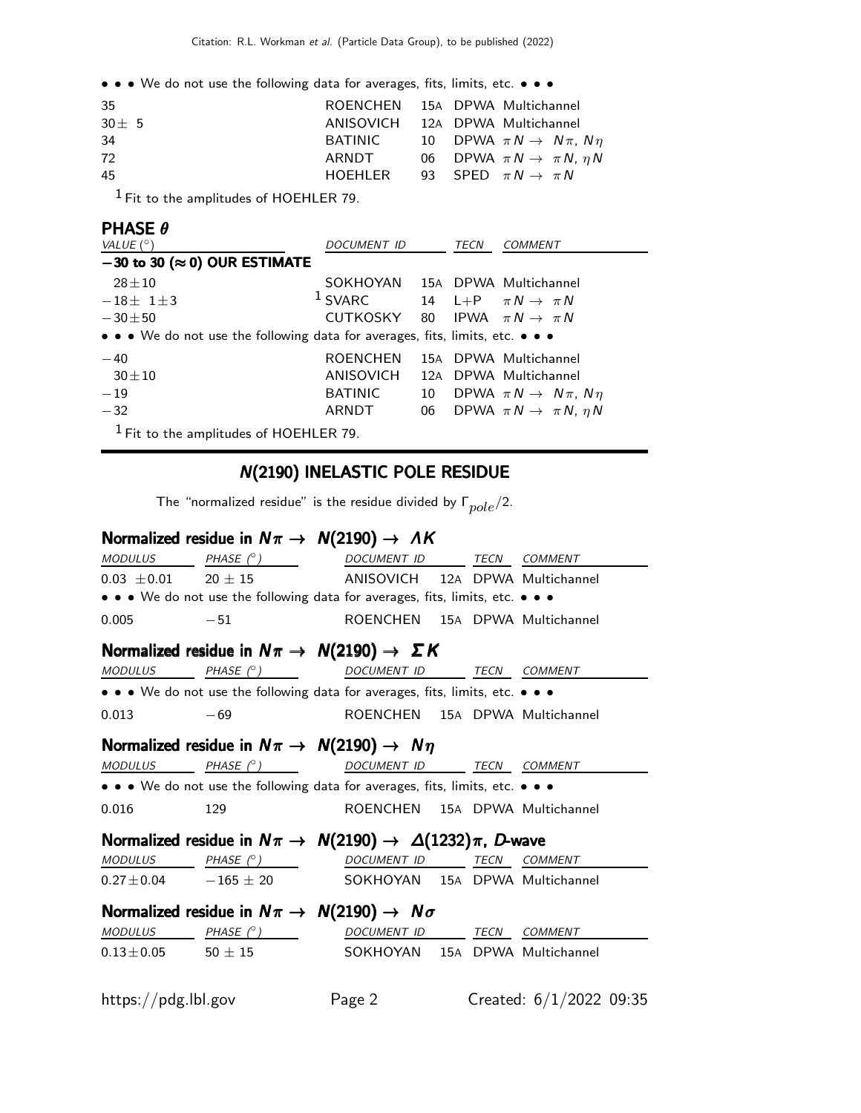• • • We do not use the following data for averages, fits, limits, etc. • • •

| -35        | ROENCHEN 15A DPWA Multichannel  |  |                                              |
|------------|---------------------------------|--|----------------------------------------------|
| $30 \pm 5$ | ANISOVICH 12A DPWA Multichannel |  |                                              |
| 34         | BATINIC                         |  | 10 DPWA $\pi N \rightarrow N \pi$ , $N \eta$ |
| 72         | ARNDT                           |  | 06 DPWA $\pi N \rightarrow \pi N$ , $\eta N$ |
| 45         | HOEHLER                         |  | 93 SPED $\pi N \to \pi N$                    |
|            |                                 |  |                                              |

 $<sup>1</sup>$  Fit to the amplitudes of HOEHLER 79.</sup>

#### PHASE θ

| VALUE $(^\circ)$                                                              | DOCUMENT ID                    |    | TECN | <b>COMMENT</b>                            |
|-------------------------------------------------------------------------------|--------------------------------|----|------|-------------------------------------------|
| $-30$ to 30 ( $\approx$ 0) OUR ESTIMATE                                       |                                |    |      |                                           |
| $28 + 10$                                                                     | SOKHOYAN 15A DPWA Multichannel |    |      |                                           |
| $-18\pm 1\pm 3$                                                               | <sup>1</sup> SVARC             |    |      | 14 L+P $\pi N \rightarrow \pi N$          |
| $-30\pm50$                                                                    | CUTKOSKY                       |    |      | 80 IPWA $\pi N \rightarrow \pi N$         |
| • • • We do not use the following data for averages, fits, limits, etc. • • • |                                |    |      |                                           |
| $-40$                                                                         | <b>ROENCHEN</b>                |    |      | 15A DPWA Multichannel                     |
| $30 \pm 10$                                                                   | ANISOVICH                      |    |      | 12A DPWA Multichannel                     |
| $-19$                                                                         | <b>BATINIC</b>                 | 10 |      | DPWA $\pi N \rightarrow N \pi$ , $N \eta$ |
| $-32$                                                                         | ARNDT                          | 06 |      | DPWA $\pi N \rightarrow \pi N$ , $\eta N$ |
| $1$ Fit to the amplitudes of HOEHLER 79.                                      |                                |    |      |                                           |

# N(2190) INELASTIC POLE RESIDUE

The "normalized residue" is the residue divided by  $\Gamma_{pole}/2$ .

# Normalized residue in  $N\pi \rightarrow N(2190) \rightarrow AK$

|                     | $MODULUS$ PHASE $(^{\circ})$                                                  | DOCUMENT ID TECN COMMENT       |  |                         |
|---------------------|-------------------------------------------------------------------------------|--------------------------------|--|-------------------------|
|                     | $0.03 \pm 0.01$ 20 $\pm$ 15 ANISOVICH 12A DPWA Multichannel                   |                                |  |                         |
|                     | • • • We do not use the following data for averages, fits, limits, etc. • • • |                                |  |                         |
| 0.005               | $-51$                                                                         | ROENCHEN 15A DPWA Multichannel |  |                         |
|                     | Normalized residue in $N\pi \rightarrow N(2190) \rightarrow \Sigma K$         |                                |  |                         |
| <b>MODULUS</b>      | PHASE $(^\circ)$                                                              | DOCUMENT ID TECN COMMENT       |  |                         |
|                     | • • • We do not use the following data for averages, fits, limits, etc. • • • |                                |  |                         |
| 0.013               | $-69$                                                                         | ROENCHEN 15A DPWA Multichannel |  |                         |
|                     | Normalized residue in $N\pi \rightarrow N(2190) \rightarrow N\eta$            |                                |  |                         |
|                     | $MODULUS$ PHASE $(^\circ)$ DOCUMENT ID TECN COMMENT                           |                                |  |                         |
|                     | • • • We do not use the following data for averages, fits, limits, etc. • • • |                                |  |                         |
| 0.016               | 129                                                                           | ROENCHEN 15A DPWA Multichannel |  |                         |
|                     | Normalized residue in $N\pi \to N(2190) \to \Delta(1232)\pi$ , D-wave         |                                |  |                         |
|                     | MODULUS PHASE (°) DOCUMENT ID TECN COMMENT                                    |                                |  |                         |
|                     | $0.27 \pm 0.04$ - $165 \pm 20$ SOKHOYAN 15A DPWA Multichannel                 |                                |  |                         |
|                     | Normalized residue in $N\pi \rightarrow N(2190) \rightarrow N\sigma$          |                                |  |                         |
|                     |                                                                               |                                |  |                         |
|                     | $0.13 \pm 0.05$ 50 $\pm$ 15 50 SOKHOYAN 15A DPWA Multichannel                 |                                |  |                         |
|                     |                                                                               |                                |  |                         |
| https://pdg.lbl.gov |                                                                               | Page 2                         |  | Created: 6/1/2022 09:35 |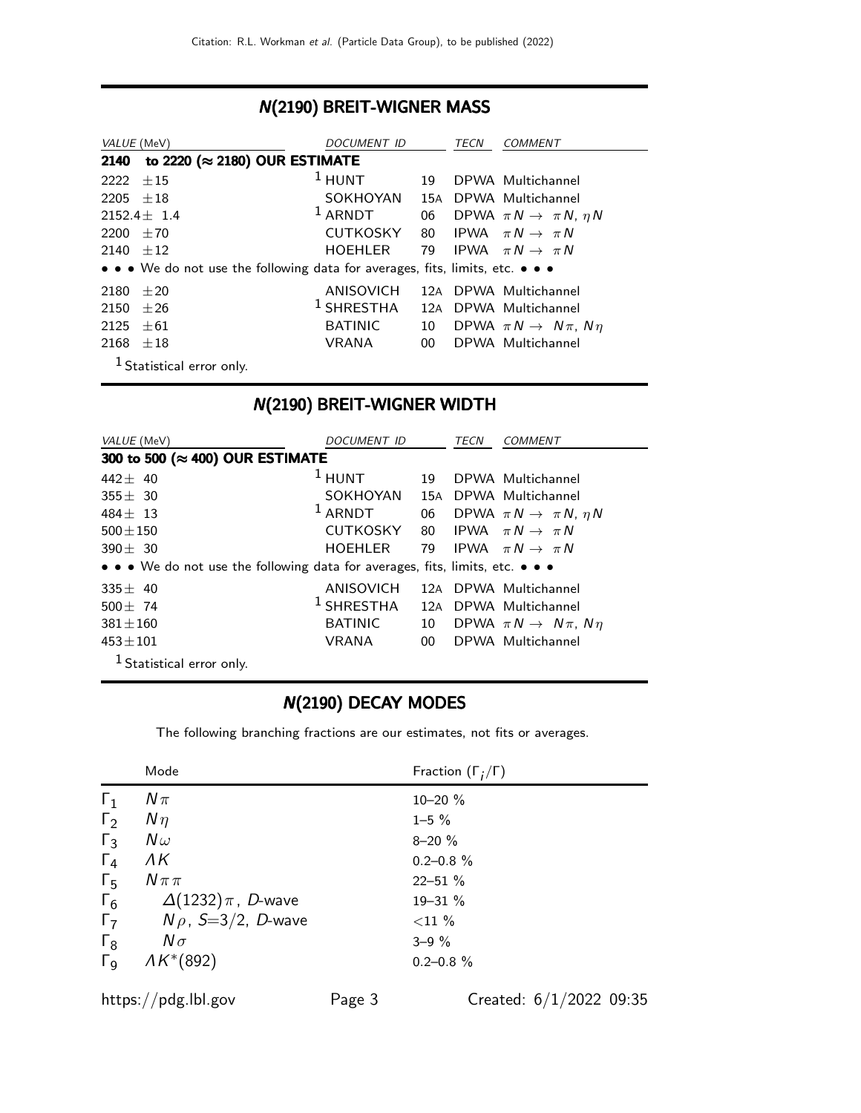### N(2190) BREIT-WIGNER MASS

| VALUE (MeV)                           |                                                                               | <i>DOCUMENT ID</i> | TECN            |  | <i>COMMENT</i>                            |
|---------------------------------------|-------------------------------------------------------------------------------|--------------------|-----------------|--|-------------------------------------------|
| to 2220 (≈ 2180) OUR ESTIMATE<br>2140 |                                                                               |                    |                 |  |                                           |
| 2222                                  | $+15$                                                                         | $1$ HUNT           | 19              |  | DPWA Multichannel                         |
| 2205                                  | $+18$                                                                         | <b>SOKHOYAN</b>    | 15A             |  | DPWA Multichannel                         |
|                                       | $2152.4 \pm 1.4$                                                              | $1$ ARNDT          | 06              |  | DPWA $\pi N \rightarrow \pi N$ , $\eta N$ |
| 2200                                  | $+70$                                                                         | <b>CUTKOSKY</b>    |                 |  | 80 IPWA $\pi N \rightarrow \pi N$         |
| 2140                                  | $+12$                                                                         | <b>HOEHLER</b>     |                 |  | 79 IPWA $\pi N \rightarrow \pi N$         |
|                                       | • • • We do not use the following data for averages, fits, limits, etc. • • • |                    |                 |  |                                           |
| 2180                                  | $+20$                                                                         | <b>ANISOVICH</b>   |                 |  | 12A DPWA Multichannel                     |
| 2150                                  | $+26$                                                                         | $1$ SHRESTHA       | 12A             |  | DPWA Multichannel                         |
| 2125                                  | $+61$                                                                         | <b>BATINIC</b>     | 10              |  | DPWA $\pi N \rightarrow N \pi$ , $N \eta$ |
| 2168                                  | $+18$                                                                         | VRANA              | 00 <sup>1</sup> |  | DPWA Multichannel                         |
|                                       | <sup>1</sup> Statistical error only.                                          |                    |                 |  |                                           |

# N(2190) BREIT-WIGNER WIDTH

| VALUE (MeV)                                                                   | <i>DOCUMENT ID</i> |                 | TECN | <i>COMMENT</i>                            |
|-------------------------------------------------------------------------------|--------------------|-----------------|------|-------------------------------------------|
| 300 to 500 (≈ 400) OUR ESTIMATE                                               |                    |                 |      |                                           |
| 442 $\pm$ 40                                                                  | $1$ HUNT           | 19              |      | DPWA Multichannel                         |
| $355 + 30$                                                                    | SOKHOYAN           | 15A             |      | DPWA Multichannel                         |
| $484 + 13$                                                                    | $1$ ARNDT          | 06              |      | DPWA $\pi N \rightarrow \pi N$ , $\eta N$ |
| $500 \pm 150$                                                                 | <b>CUTKOSKY</b>    |                 |      | 80 IPWA $\pi N \rightarrow \pi N$         |
| $390 \pm 30$                                                                  | <b>HOEHLER</b>     | 79              |      | IPWA $\pi N \rightarrow \pi N$            |
| • • • We do not use the following data for averages, fits, limits, etc. • • • |                    |                 |      |                                           |
| $335 \pm 40$                                                                  | ANISOVICH          |                 |      | 12A DPWA Multichannel                     |
| $500 \pm 74$                                                                  | $1$ SHRESTHA       | 12A             |      | DPWA Multichannel                         |
| $381 + 160$                                                                   | <b>BATINIC</b>     | 10              |      | DPWA $\pi N \rightarrow N \pi$ , $N \eta$ |
| $453 \pm 101$                                                                 | <b>VRANA</b>       | 00 <sup>°</sup> |      | DPWA Multichannel                         |
| $1$ Statistical error only.                                                   |                    |                 |      |                                           |

#### N(2190) DECAY MODES

The following branching fractions are our estimates, not fits or averages.

|                       | Mode                              | Fraction $(\Gamma_i/\Gamma)$ |
|-----------------------|-----------------------------------|------------------------------|
| $\Gamma_1$            | $N\pi$                            | $10 - 20 \%$                 |
| $\Gamma_2$            | $N\eta$                           | $1 - 5 \%$                   |
| $\Gamma_3$            | $N\omega$                         | $8 - 20%$                    |
| $\Gamma_4$            | ΛK                                | $0.2 - 0.8 \%$               |
| $\Gamma_{5}$          | $N \pi \pi$                       | $22 - 51%$                   |
| $\Gamma_6$            | $\Delta(1232)\,\pi$ , $\,$ D-wave | 19-31 %                      |
| $\Gamma_7$            | $N \rho$ , S=3/2, D-wave          | ${<}11\%$                    |
| $\Gamma_8$            | $N\sigma$                         | $3 - 9\%$                    |
| $\Gamma_{\mathsf{Q}}$ | $AK*(892)$                        | $0.2 - 0.8 \%$               |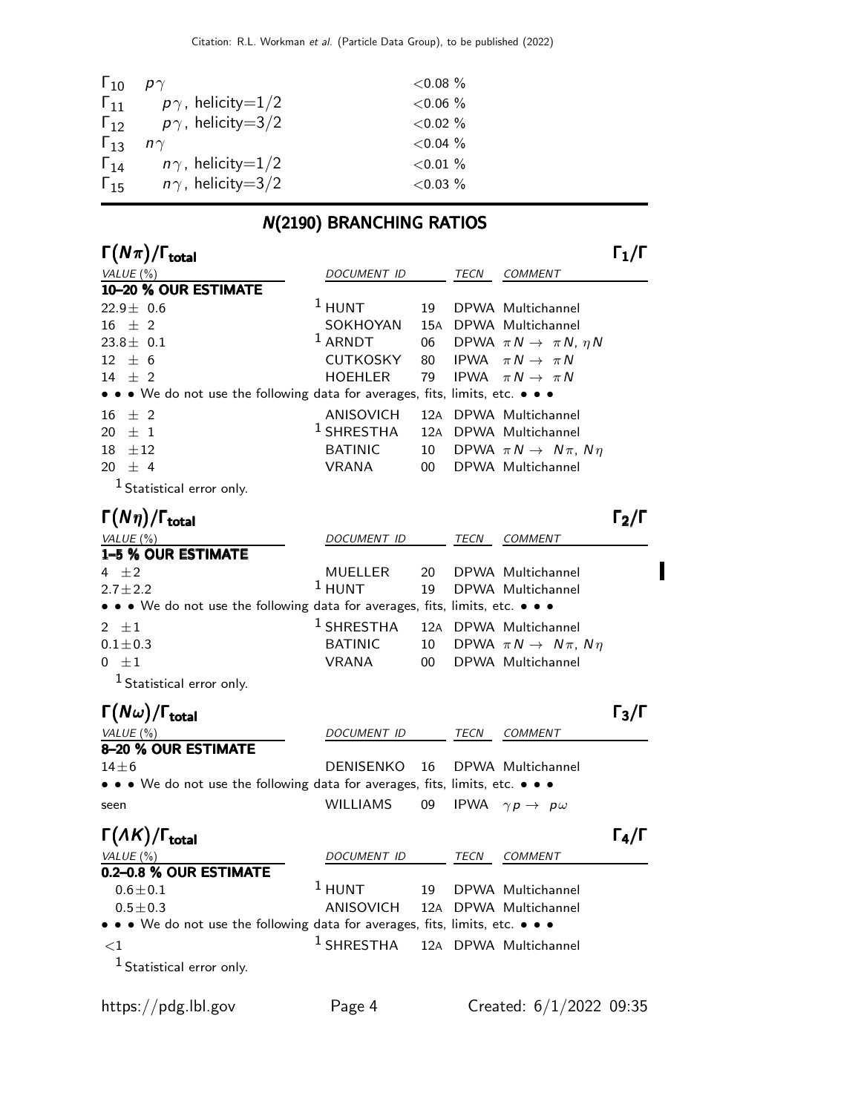| $\Gamma_{10}$ | $p\gamma$                | ${<}0.08\%$ |
|---------------|--------------------------|-------------|
| $\Gamma_{11}$ | $p\gamma$ , helicity=1/2 | $< 0.06 \%$ |
| $\Gamma_{12}$ | $p\gamma$ , helicity=3/2 | $< 0.02 \%$ |
| $\Gamma_{13}$ | $n\gamma$                | $< 0.04 \%$ |
| $\Gamma_{14}$ | $n\gamma$ , helicity=1/2 | ${<}0.01\%$ |
| $\Gamma_{15}$ | $n\gamma$ , helicity=3/2 | $< 0.03 \%$ |
|               |                          |             |

# N(2190) BRANCHING RATIOS

| $\Gamma(N\pi)/\Gamma_{\rm total}$                                             |                    |    |             |                                           | $\mathsf{\Gamma}_1/\mathsf{\Gamma}$ |
|-------------------------------------------------------------------------------|--------------------|----|-------------|-------------------------------------------|-------------------------------------|
| VALUE (%)                                                                     | DOCUMENT ID        |    | TECN        | <b>COMMENT</b>                            |                                     |
| 10-20 % OUR ESTIMATE                                                          |                    |    |             |                                           |                                     |
| $22.9\pm$ 0.6                                                                 | $1$ HUNT           | 19 |             | DPWA Multichannel                         |                                     |
| $16 \pm 2$                                                                    | SOKHOYAN           |    |             | 15A DPWA Multichannel                     |                                     |
| $23.8 \pm 0.1$                                                                | $1$ ARNDT          | 06 |             | DPWA $\pi N \rightarrow \pi N$ , $\eta N$ |                                     |
| $12 \pm 6$                                                                    | <b>CUTKOSKY</b>    | 80 | <b>IPWA</b> | $\pi N \rightarrow \pi N$                 |                                     |
| 14 $\pm$ 2                                                                    | <b>HOEHLER</b>     | 79 | <b>IPWA</b> | $\pi N \rightarrow \pi N$                 |                                     |
| • • • We do not use the following data for averages, fits, limits, etc. • • • |                    |    |             |                                           |                                     |
| $±$ 2<br>16                                                                   | ANISOVICH          |    |             | 12A DPWA Multichannel                     |                                     |
| $\pm$ 1<br>20.                                                                | $1$ SHRESTHA       |    |             | 12A DPWA Multichannel                     |                                     |
| 18<br>$\pm 12$                                                                | <b>BATINIC</b>     | 10 |             | DPWA $\pi N \rightarrow N \pi$ , $N \eta$ |                                     |
| 20<br>$\pm$ 4                                                                 | <b>VRANA</b>       | 00 |             | DPWA Multichannel                         |                                     |
| <sup>1</sup> Statistical error only.                                          |                    |    |             |                                           |                                     |
| $\Gamma(N\eta)/\Gamma_{\rm total}$                                            |                    |    |             |                                           | $\Gamma_2/\Gamma$                   |
| VALUE (%)                                                                     | <i>DOCUMENT ID</i> |    | TECN        | <b>COMMENT</b>                            |                                     |
| 1-5 % OUR ESTIMATE                                                            |                    |    |             |                                           |                                     |
| 4 $\pm 2$                                                                     | MUELLER            | 20 |             | DPWA Multichannel                         |                                     |
| $2.7 + 2.2$                                                                   | $1$ HUNT           | 19 |             | DPWA Multichannel                         |                                     |
| • • We do not use the following data for averages, fits, limits, etc. • • •   |                    |    |             |                                           |                                     |
| 2 $\pm 1$                                                                     | $1$ SHRESTHA       |    |             | 12A DPWA Multichannel                     |                                     |
| $0.1 \pm 0.3$                                                                 | <b>BATINIC</b>     | 10 |             | DPWA $\pi N \rightarrow N \pi$ , $N \eta$ |                                     |
| $0 \pm 1$                                                                     | <b>VRANA</b>       | 00 |             | DPWA Multichannel                         |                                     |
| <sup>1</sup> Statistical error only.                                          |                    |    |             |                                           |                                     |
| $\Gamma(N\omega)/\Gamma_{\rm total}$                                          |                    |    |             |                                           | $\Gamma_3/\Gamma$                   |
| VALUE $(\%)$                                                                  | DOCUMENT ID        |    | TECN        | <i>COMMENT</i>                            |                                     |
| 8-20 % OUR ESTIMATE                                                           |                    |    |             |                                           |                                     |
| $14\pm 6$                                                                     | <b>DENISENKO</b>   | 16 |             | DPWA Multichannel                         |                                     |
| • • • We do not use the following data for averages, fits, limits, etc. • • • |                    |    |             |                                           |                                     |
| seen                                                                          | <b>WILLIAMS</b>    | 09 | IPWA        | $\gamma p \rightarrow p \omega$           |                                     |
| $\Gamma(\Lambda K)/\Gamma_{\rm total}$                                        |                    |    |             |                                           | $\Gamma_4/\Gamma$                   |
| VALUE (%)                                                                     | DOCUMENT ID        |    | TECN        | <b>COMMENT</b>                            |                                     |
| 0.2-0.8 % OUR ESTIMATE                                                        |                    |    |             |                                           |                                     |
| $0.6 \pm 0.1$                                                                 | $1$ HUNT           | 19 |             | DPWA Multichannel                         |                                     |
| $0.5 \pm 0.3$                                                                 | <b>ANISOVICH</b>   |    |             | 12A DPWA Multichannel                     |                                     |
| • • • We do not use the following data for averages, fits, limits, etc. • • • |                    |    |             |                                           |                                     |
| ${<}1$                                                                        | $1$ SHRESTHA       |    |             | 12A DPWA Multichannel                     |                                     |
| $1$ Statistical error only.                                                   |                    |    |             |                                           |                                     |
|                                                                               |                    |    |             |                                           |                                     |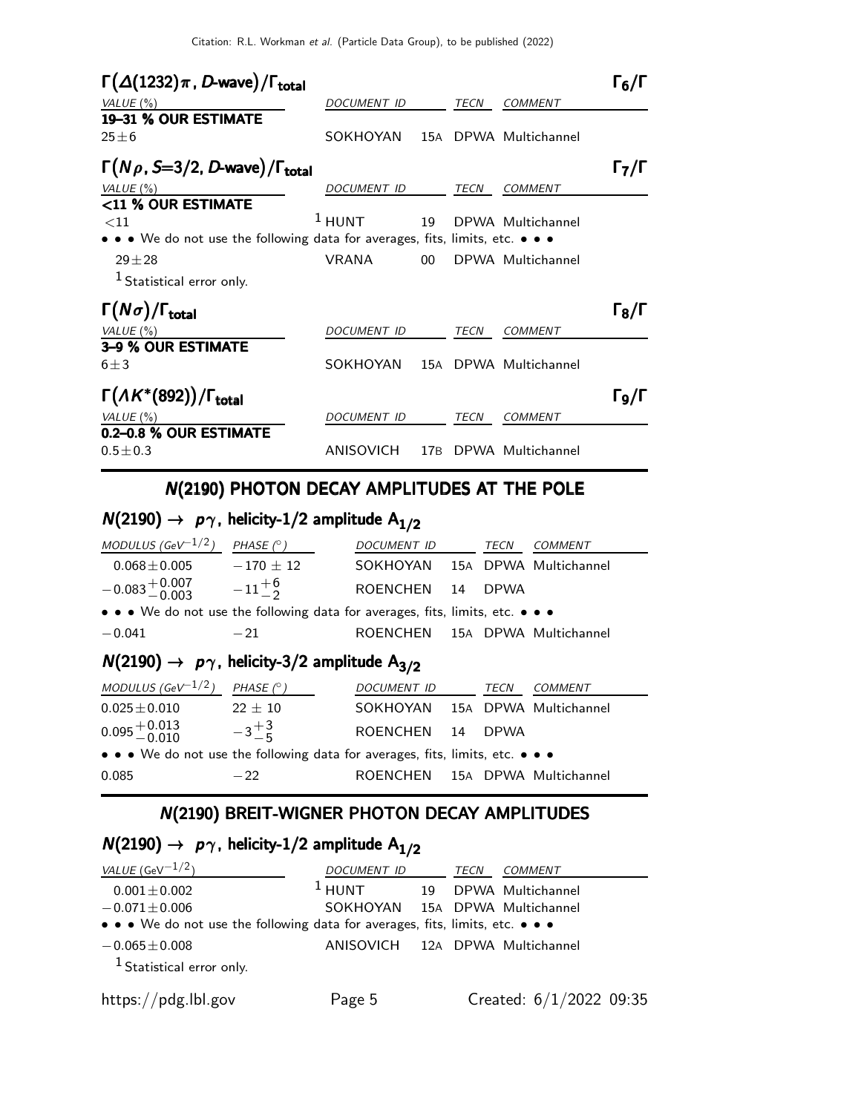| $\Gamma(\Delta(1232)\pi, D$ -wave)/ $\Gamma_{\text{total}}$                                                                   |                    |                 |      |                       | $\Gamma_6/\Gamma$                   |
|-------------------------------------------------------------------------------------------------------------------------------|--------------------|-----------------|------|-----------------------|-------------------------------------|
| VALUE $(\%)$                                                                                                                  | DOCUMENT ID        |                 | TECN | <b>COMMENT</b>        |                                     |
| 19-31 % OUR ESTIMATE                                                                                                          |                    |                 |      |                       |                                     |
| $25 \pm 6$                                                                                                                    | SOKHOYAN           |                 |      | 15A DPWA Multichannel |                                     |
| $\Gamma(N\rho, S=3/2, D$ -wave)/ $\Gamma_{\text{total}}$                                                                      |                    |                 |      |                       | $\Gamma_7/\Gamma$                   |
| VALUE $(\%)$                                                                                                                  | DOCUMENT ID        |                 | TECN | <b>COMMENT</b>        |                                     |
| <11 % OUR ESTIMATE                                                                                                            |                    |                 |      |                       |                                     |
| $<$ 11                                                                                                                        | $1$ HUNT           | 19              |      | DPWA Multichannel     |                                     |
| $\bullet$ $\bullet$ $\bullet$ We do not use the following data for averages, fits, limits, etc. $\bullet$ $\bullet$ $\bullet$ |                    |                 |      |                       |                                     |
| $29 + 28$                                                                                                                     | <b>VRANA</b>       | $00 \,$         |      | DPWA Multichannel     |                                     |
| <sup>1</sup> Statistical error only.                                                                                          |                    |                 |      |                       |                                     |
| $\Gamma(N\sigma)/\Gamma_{\rm total}$                                                                                          |                    |                 |      |                       | $\mathsf{\Gamma}_8/\mathsf{\Gamma}$ |
| VALUE (%)                                                                                                                     | <b>DOCUMENT ID</b> |                 | TECN | <b>COMMENT</b>        |                                     |
| 3-9 % OUR ESTIMATE                                                                                                            |                    |                 |      |                       |                                     |
| $6 \pm 3$                                                                                                                     | SOKHOYAN           |                 |      | 15A DPWA Multichannel |                                     |
| $\Gamma(\Lambda K^*(892))/\Gamma_{\text{total}}$                                                                              |                    |                 |      |                       | Го/Г                                |
| VALUE (%)                                                                                                                     | <b>DOCUMENT ID</b> |                 | TECN | COMMENT               |                                     |
| 0.2-0.8 % OUR ESTIMATE                                                                                                        |                    |                 |      |                       |                                     |
| $0.5 \pm 0.3$                                                                                                                 | ANISOVICH          | 17 <sub>B</sub> |      | DPWA Multichannel     |                                     |

## N(2190) PHOTON DECAY AMPLITUDES AT THE POLE

# $N(2190) \rightarrow p\gamma$ , helicity-1/2 amplitude A<sub>1/2</sub>

| MODULUS (GeV $^{-1/2}$ )                                                      | PHASE $(^\circ)$                                                        | DOCUMENT ID                    |    | TECN        | <b>COMMENT</b> |  |  |
|-------------------------------------------------------------------------------|-------------------------------------------------------------------------|--------------------------------|----|-------------|----------------|--|--|
| $0.068\pm0.005$                                                               | $-170 \pm 12$                                                           | SOKHOYAN 15A DPWA Multichannel |    |             |                |  |  |
| $-0.083^{+0.007}_{-0.003}$ $-11^{+6}_{-2}$                                    |                                                                         | <b>ROENCHEN</b>                | 14 | <b>DPWA</b> |                |  |  |
| • • • We do not use the following data for averages, fits, limits, etc. • • • |                                                                         |                                |    |             |                |  |  |
| $-0.041$                                                                      | $-21$                                                                   | ROENCHEN 15A DPWA Multichannel |    |             |                |  |  |
|                                                                               | $N(2190) \rightarrow p\gamma$ , helicity-3/2 amplitude A <sub>3/2</sub> |                                |    |             |                |  |  |
| MODULUS (GeV $^{-1/2}$ ) PHASE (° )                                           |                                                                         |                                |    |             |                |  |  |
|                                                                               |                                                                         | DOCUMENT ID                    |    | TECN        | <b>COMMENT</b> |  |  |
| $0.025 \pm 0.010$ 22 $\pm$ 10                                                 |                                                                         | SOKHOYAN 15A DPWA Multichannel |    |             |                |  |  |
| $0.095 + 0.013 -3 +3 -6$                                                      |                                                                         | ROENCHEN 14                    |    | <b>DPWA</b> |                |  |  |
| • • • We do not use the following data for averages, fits, limits, etc. • • • |                                                                         |                                |    |             |                |  |  |

### N(2190) BREIT-WIGNER PHOTON DECAY AMPLITUDES

# $N(2190) \rightarrow p\gamma$ , helicity-1/2 amplitude A<sub>1/2</sub>

| VALUE (GeV $^{-1/2}$ )                                                        | DOCUMENT ID                     | TECN | COMMENT                   |  |
|-------------------------------------------------------------------------------|---------------------------------|------|---------------------------|--|
| $0.001 \pm 0.002$                                                             | $1$ HUNT                        |      | 19 DPWA Multichannel      |  |
| $-0.071 \pm 0.006$                                                            | SOKHOYAN 15A DPWA Multichannel  |      |                           |  |
| • • • We do not use the following data for averages, fits, limits, etc. • • • |                                 |      |                           |  |
| $-0.065 \pm 0.008$                                                            | ANISOVICH 12A DPWA Multichannel |      |                           |  |
| $1$ Statistical error only.                                                   |                                 |      |                           |  |
| https://pdg.lbl.gov                                                           | Page 5                          |      | Created: $6/1/2022$ 09:35 |  |